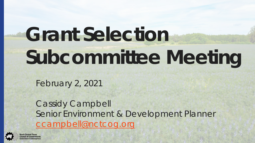# **Grant Selection Subcommittee Meeting**

February 2, 2021

Cassidy Campbell Senior Environment & Development Planner [ccampbell@nctcog.org](mailto:ccampbell@nctcog.org)

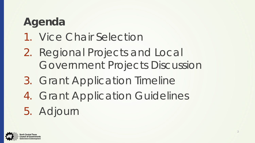## **Agenda**

- 1. Vice Chair Selection
- 2. Regional Projects and Local Government Projects Discussion
- 3. Grant Application Timeline
- 4. Grant Application Guidelines 5. Adjourn

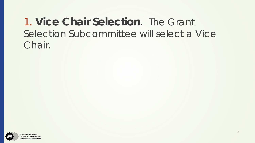#### 1. **Vice Chair Selection**. The Grant Selection Subcommittee will select a Vice Chair.

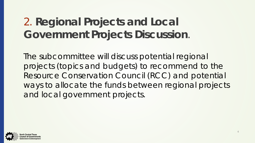#### 2. **Regional Projects and Local Government Projects Discussion**.

The subcommittee will discuss potential regional projects (topics and budgets) to recommend to the Resource Conservation Council (RCC) and potential ways to allocate the funds between regional projects and local government projects.

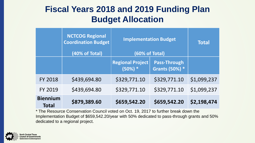#### **Fiscal Years 2018 and 2019 Funding Plan Budget Allocation**

|                                 | <b>NCTCOG Regional</b><br><b>Coordination Budget</b><br>(40% of Total) | <b>Implementation Budget</b><br>(60% of Total) |                                              | <b>Total</b> |
|---------------------------------|------------------------------------------------------------------------|------------------------------------------------|----------------------------------------------|--------------|
|                                 |                                                                        | <b>Regional Project</b><br>$(50%) *$           | <b>Pass-Through</b><br><b>Grants (50%) *</b> |              |
| <b>FY 2018</b>                  | \$439,694.80                                                           | \$329,771.10                                   | \$329,771.10                                 | \$1,099,237  |
| <b>FY 2019</b>                  | \$439,694.80                                                           | \$329,771.10                                   | \$329,771.10                                 | \$1,099,237  |
| <b>Biennium</b><br><b>Total</b> | \$879,389.60                                                           | \$659,542.20                                   | \$659,542.20                                 | \$2,198,474  |

\* The Resource Conservation Council voted on Oct. 19, 2017 to further break down the Implementation Budget of \$659,542.20/year with 50% dedicated to pass-through grants and 50% dedicated to a regional project.

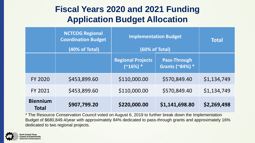#### **Fiscal Years 2020 and 2021 Funding Application Budget Allocation**

|                                 | <b>NCTCOG Regional</b><br><b>Coordination Budget</b><br>(40% of Total) | <b>Implementation Budget</b><br>(60% of Total) |                                        | <b>Total</b> |
|---------------------------------|------------------------------------------------------------------------|------------------------------------------------|----------------------------------------|--------------|
|                                 |                                                                        | <b>Regional Projects</b><br>$(^{2}16\%)$ *     | <b>Pass-Through</b><br>Grants (~84%) * |              |
| <b>FY 2020</b>                  | \$453,899.60                                                           | \$110,000.00                                   | \$570,849.40                           | \$1,134,749  |
| <b>FY 2021</b>                  | \$453,899.60                                                           | \$110,000.00                                   | \$570,849.40                           | \$1,134,749  |
| <b>Biennium</b><br><b>Total</b> | \$907,799.20                                                           | \$220,000.00                                   | \$1,141,698.80                         | \$2,269,498  |

\* The Resource Conservation Council voted on August 6, 2019 to further break down the Implementation Budget of \$680,849.4/year with approximately 84% dedicated to pass-through grants and approximately 16% dedicated to two regional projects.

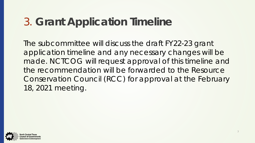## 3. **Grant Application Timeline**

The subcommittee will discuss the draft FY22-23 grant application timeline and any necessary changes will be made. NCTCOG will request approval of this timeline and the recommendation will be forwarded to the Resource Conservation Council (RCC) for approval at the February 18, 2021 meeting.

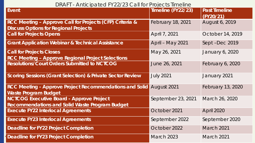DRAFT - Anticipated FY22/23 Call for Projects Timeline

| Event                                                                                                               | Timeline (FY22/23)       | <b>Past Timeline</b><br>(FY20/21) |
|---------------------------------------------------------------------------------------------------------------------|--------------------------|-----------------------------------|
| <b>RCC Meeting - Approve Call for Projects (CFP) Criteria &amp;</b><br><b>Discuss Options for Regional Projects</b> | <b>February 18, 2021</b> | August 6, 2019                    |
| <b>Call for Projects Opens</b>                                                                                      | April 7, 2021            | October 14, 2019                  |
| <b>Grant Application Webinar &amp; Technical Assistance</b>                                                         | April - May 2021         | Sept-Dec 2019                     |
| <b>Call for Projects Closes</b><br><b>RCC Meeting - Approve Regional Project Selections</b>                         | May 26, 2021             | January 6, 2020                   |
| <b>Resolutions/Court Orders Submitted to NCTCOG</b>                                                                 | June 26, 2021            | February 6, 2020                  |
| <b>Scoring Sessions (Grant Selection) &amp; Private Sector Review</b>                                               | <b>July 2021</b>         | January 2021                      |
| <b>RCC Meeting - Approve Project Recommendations and Solid</b><br><b>Waste Program Budget</b>                       | August 2021              | February 13, 2020                 |
| <b>NCTCOG Executive Board - Approve Project</b><br><b>Recommendations and Solid Waste Program Budget</b>            | September 23, 2021       | March 26, 2020                    |
| <b>Execute FY22 Interlocal Agreements</b>                                                                           | October 2021             | <b>April 2020</b>                 |
| <b>Execute FY23 Interlocal Agreements</b>                                                                           | September 2022           | September 2020                    |
| <b>Deadline for FY22 Project Completion</b>                                                                         | October 2022             | March 2021                        |
| <b>Deadline for FY23 Project Completion</b>                                                                         | <b>March 2023</b>        | March 2021                        |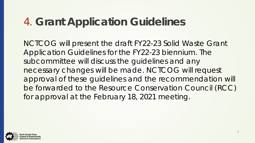## 4. **Grant Application Guidelines**

NCTCOG will present the draft FY22-23 Solid Waste Grant Application Guidelines for the FY22-23 biennium. The subcommittee will discuss the guidelines and any necessary changes will be made. NCTCOG will request approval of these guidelines and the recommendation will be forwarded to the Resource Conservation Council (RCC) for approval at the February 18, 2021 meeting.

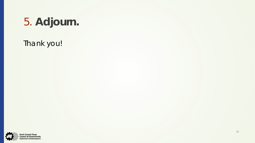# 5. **Adjourn.**

Thank you!